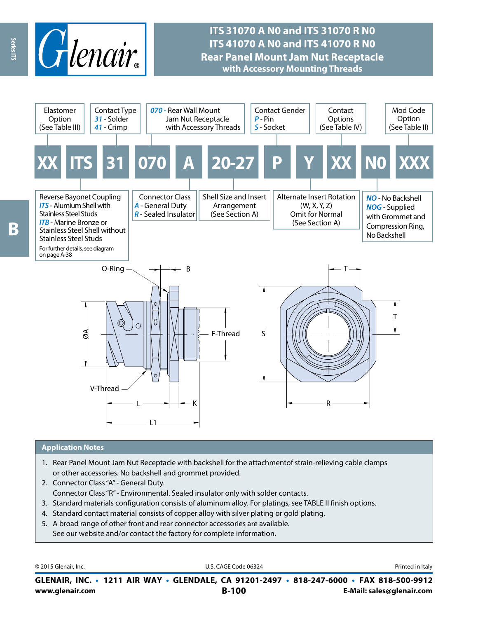

## **ITS 31070 A N0 and ITS 31070 R N0 ITS 41070 A N0 and ITS 41070 R N0 Rear Panel Mount Jam Nut Receptacle with Accessory Mounting Threads**



#### **Application Notes**

- 1. Rear Panel Mount Jam Nut Receptacle with backshell for the attachmentof strain-relieving cable clamps or other accessories. No backshell and grommet provided.
- 2. Connector Class "A" General Duty. Connector Class "R" - Environmental. Sealed insulator only with solder contacts.
- 3. Standard materials configuration consists of aluminum alloy. For platings, see TABLE II finish options.
- 4. Standard contact material consists of copper alloy with silver plating or gold plating.
- 5. A broad range of other front and rear connector accessories are available. See our website and/or contact the factory for complete information.

© 2015 Glenair, Inc. **Discription Construction Construction Construction Construction Construction Construction Construction Construction Construction Construction Construction Construction Construction Construction Constr** 

**www.glenair.com B-100 E-Mail: sales@glenair.com GLENAIR, INC. • 1211 AIR WAY • GLENDALE, CA 91201-2497 • 818-247-6000 • FAX 818-500-9912**

Ŗ

Series ITS